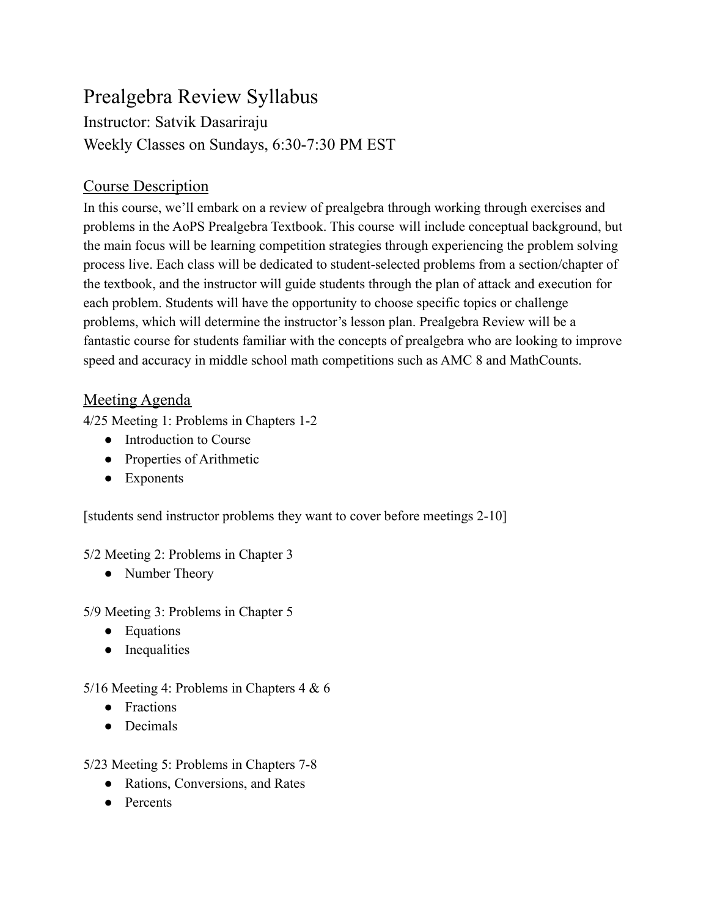## Prealgebra Review Syllabus

Instructor: Satvik Dasariraju Weekly Classes on Sundays, 6:30-7:30 PM EST

## Course Description

In this course, we'll embark on a review of prealgebra through working through exercises and problems in the AoPS Prealgebra Textbook. This course will include conceptual background, but the main focus will be learning competition strategies through experiencing the problem solving process live. Each class will be dedicated to student-selected problems from a section/chapter of the textbook, and the instructor will guide students through the plan of attack and execution for each problem. Students will have the opportunity to choose specific topics or challenge problems, which will determine the instructor's lesson plan. Prealgebra Review will be a fantastic course for students familiar with the concepts of prealgebra who are looking to improve speed and accuracy in middle school math competitions such as AMC 8 and MathCounts.

## Meeting Agenda

4/25 Meeting 1: Problems in Chapters 1-2

- Introduction to Course
- Properties of Arithmetic
- Exponents

[students send instructor problems they want to cover before meetings 2-10]

5/2 Meeting 2: Problems in Chapter 3

• Number Theory

5/9 Meeting 3: Problems in Chapter 5

- Equations
- Inequalities

## 5/16 Meeting 4: Problems in Chapters 4 & 6

- Fractions
- Decimals

5/23 Meeting 5: Problems in Chapters 7-8

- Rations, Conversions, and Rates
- Percents